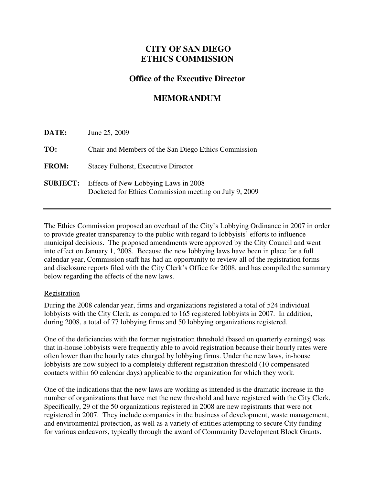## **CITY OF SAN DIEGO ETHICS COMMISSION**

## **Office of the Executive Director**

# **MEMORANDUM**

| DATE:           | June 25, 2009                                                                                  |
|-----------------|------------------------------------------------------------------------------------------------|
| TO:             | Chair and Members of the San Diego Ethics Commission                                           |
| <b>FROM:</b>    | <b>Stacey Fulhorst, Executive Director</b>                                                     |
| <b>SUBJECT:</b> | Effects of New Lobbying Laws in 2008<br>Docketed for Ethics Commission meeting on July 9, 2009 |

 The Ethics Commission proposed an overhaul of the City's Lobbying Ordinance in 2007 in order to provide greater transparency to the public with regard to lobbyists' efforts to influence municipal decisions. The proposed amendments were approved by the City Council and went into effect on January 1, 2008. Because the new lobbying laws have been in place for a full calendar year, Commission staff has had an opportunity to review all of the registration forms and disclosure reports filed with the City Clerk's Office for 2008, and has compiled the summary below regarding the effects of the new laws.

#### Registration

 During the 2008 calendar year, firms and organizations registered a total of 524 individual lobbyists with the City Clerk, as compared to 165 registered lobbyists in 2007. In addition, during 2008, a total of 77 lobbying firms and 50 lobbying organizations registered.

 One of the deficiencies with the former registration threshold (based on quarterly earnings) was that in-house lobbyists were frequently able to avoid registration because their hourly rates were often lower than the hourly rates charged by lobbying firms. Under the new laws, in-house lobbyists are now subject to a completely different registration threshold (10 compensated contacts within 60 calendar days) applicable to the organization for which they work.

 One of the indications that the new laws are working as intended is the dramatic increase in the number of organizations that have met the new threshold and have registered with the City Clerk. Specifically, 29 of the 50 organizations registered in 2008 are new registrants that were not registered in 2007. They include companies in the business of development, waste management, and environmental protection, as well as a variety of entities attempting to secure City funding for various endeavors, typically through the award of Community Development Block Grants.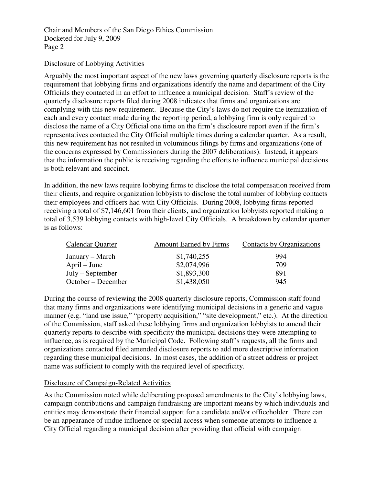Chair and Members of the San Diego Ethics Commission Docketed for July 9, 2009 Page 2

#### Disclosure of Lobbying Activities

 Arguably the most important aspect of the new laws governing quarterly disclosure reports is the requirement that lobbying firms and organizations identify the name and department of the City Officials they contacted in an effort to influence a municipal decision. Staff's review of the quarterly disclosure reports filed during 2008 indicates that firms and organizations are complying with this new requirement. Because the City's laws do not require the itemization of each and every contact made during the reporting period, a lobbying firm is only required to disclose the name of a City Official one time on the firm's disclosure report even if the firm's representatives contacted the City Official multiple times during a calendar quarter. As a result, this new requirement has not resulted in voluminous filings by firms and organizations (one of the concerns expressed by Commissioners during the 2007 deliberations). Instead, it appears that the information the public is receiving regarding the efforts to influence municipal decisions is both relevant and succinct.

 In addition, the new laws require lobbying firms to disclose the total compensation received from their clients, and require organization lobbyists to disclose the total number of lobbying contacts their employees and officers had with City Officials. During 2008, lobbying firms reported receiving a total of \$7,146,601 from their clients, and organization lobbyists reported making a total of 3,539 lobbying contacts with high-level City Officials. A breakdown by calendar quarter is as follows:

| <b>Calendar Quarter</b> | <b>Amount Earned by Firms</b> | Contacts by Organizations |
|-------------------------|-------------------------------|---------------------------|
| January – March         | \$1,740,255                   | 994                       |
| $April - June$          | \$2,074,996                   | 709                       |
| $July - September$      | \$1,893,300                   | 891                       |
| October – December      | \$1,438,050                   | 945                       |

 During the course of reviewing the 2008 quarterly disclosure reports, Commission staff found that many firms and organizations were identifying municipal decisions in a generic and vague manner (e.g. "land use issue," "property acquisition," "site development," etc.). At the direction of the Commission, staff asked these lobbying firms and organization lobbyists to amend their quarterly reports to describe with specificity the municipal decisions they were attempting to influence, as is required by the Municipal Code. Following staff's requests, all the firms and organizations contacted filed amended disclosure reports to add more descriptive information regarding these municipal decisions. In most cases, the addition of a street address or project name was sufficient to comply with the required level of specificity.

## Disclosure of Campaign-Related Activities

 As the Commission noted while deliberating proposed amendments to the City's lobbying laws, campaign contributions and campaign fundraising are important means by which individuals and entities may demonstrate their financial support for a candidate and/or officeholder. There can be an appearance of undue influence or special access when someone attempts to influence a City Official regarding a municipal decision after providing that official with campaign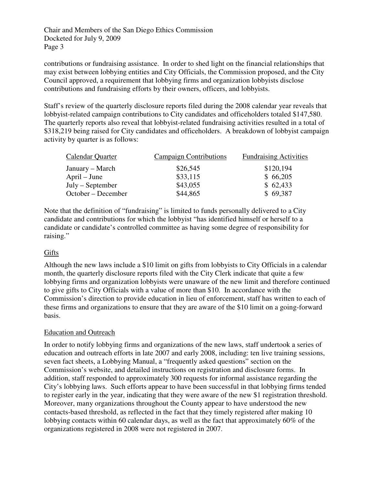Chair and Members of the San Diego Ethics Commission Docketed for July 9, 2009 Page 3

 contributions or fundraising assistance. In order to shed light on the financial relationships that may exist between lobbying entities and City Officials, the Commission proposed, and the City Council approved, a requirement that lobbying firms and organization lobbyists disclose contributions and fundraising efforts by their owners, officers, and lobbyists.

 Staff's review of the quarterly disclosure reports filed during the 2008 calendar year reveals that lobbyist-related campaign contributions to City candidates and officeholders totaled \$147,580. The quarterly reports also reveal that lobbyist-related fundraising activities resulted in a total of \$318,219 being raised for City candidates and officeholders. A breakdown of lobbyist campaign activity by quarter is as follows:

| Calendar Quarter   | <b>Campaign Contributions</b> | <b>Fundraising Activities</b> |
|--------------------|-------------------------------|-------------------------------|
| January – March    | \$26,545                      | \$120,194                     |
| $April - June$     | \$33,115                      | \$66,205                      |
| $July - September$ | \$43,055                      | \$62,433                      |
| October – December | \$44,865                      | \$69,387                      |

 Note that the definition of "fundraising" is limited to funds personally delivered to a City candidate and contributions for which the lobbyist "has identified himself or herself to a candidate or candidate's controlled committee as having some degree of responsibility for raising."<br><u>Gifts</u>

 Although the new laws include a \$10 limit on gifts from lobbyists to City Officials in a calendar month, the quarterly disclosure reports filed with the City Clerk indicate that quite a few lobbying firms and organization lobbyists were unaware of the new limit and therefore continued to give gifts to City Officials with a value of more than \$10. In accordance with the Commission's direction to provide education in lieu of enforcement, staff has written to each of these firms and organizations to ensure that they are aware of the \$10 limit on a going-forward basis.

## **Education and Outreach**

 In order to notify lobbying firms and organizations of the new laws, staff undertook a series of education and outreach efforts in late 2007 and early 2008, including: ten live training sessions, seven fact sheets, a Lobbying Manual, a "frequently asked questions" section on the Commission's website, and detailed instructions on registration and disclosure forms. In addition, staff responded to approximately 300 requests for informal assistance regarding the City's lobbying laws. Such efforts appear to have been successful in that lobbying firms tended to register early in the year, indicating that they were aware of the new \$1 registration threshold. Moreover, many organizations throughout the County appear to have understood the new contacts-based threshold, as reflected in the fact that they timely registered after making 10 lobbying contacts within 60 calendar days, as well as the fact that approximately 60% of the organizations registered in 2008 were not registered in 2007.